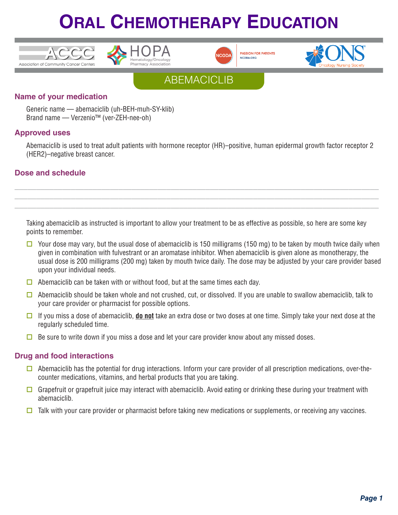











### **Name of your medication**

Generic name — abemaciclib (uh-BEH-muh-SY-klib) Brand name — Verzenio™ (ver-ZEH-nee-oh)

### **Approved uses**

Abemaciclib is used to treat adult patients with hormone receptor (HR)–positive, human epidermal growth factor receptor 2 (HER2)–negative breast cancer.

### **Dose and schedule**

Taking abemaciclib as instructed is important to allow your treatment to be as effective as possible, so here are some key points to remember.

**\_\_\_\_\_\_\_\_\_\_\_\_\_\_\_\_\_\_\_\_\_\_\_\_\_\_\_\_\_\_\_\_\_\_\_\_\_\_\_\_\_\_\_\_\_\_\_\_\_\_\_\_\_\_\_\_\_\_\_\_\_\_\_\_\_\_\_\_\_\_\_\_\_\_\_\_\_\_\_\_\_\_\_\_ \_\_\_\_\_\_\_\_\_\_\_\_\_\_\_\_\_\_\_\_\_\_\_\_\_\_\_\_\_\_\_\_\_\_\_\_\_\_\_\_\_\_\_\_\_\_\_\_\_\_\_\_\_\_\_\_\_\_\_\_\_\_\_\_\_\_\_\_\_\_\_\_\_\_\_\_\_\_\_\_\_\_\_\_ \_\_\_\_\_\_\_\_\_\_\_\_\_\_\_\_\_\_\_\_\_\_\_\_\_\_\_\_\_\_\_\_\_\_\_\_\_\_\_\_\_\_\_\_\_\_\_\_\_\_\_\_\_\_\_\_\_\_\_\_\_\_\_\_\_\_\_\_\_\_\_\_\_\_\_\_\_\_\_\_\_\_\_\_**

- $\Box$  Your dose may vary, but the usual dose of abemaciclib is 150 milligrams (150 mg) to be taken by mouth twice daily when given in combination with fulvestrant or an aromatase inhibitor. When abemaciclib is given alone as monotherapy, the usual dose is 200 milligrams (200 mg) taken by mouth twice daily. The dose may be adjusted by your care provider based upon your individual needs.
- $\Box$  Abemaciclib can be taken with or without food, but at the same times each day.
- $\Box$  Abemaciclib should be taken whole and not crushed, cut, or dissolved. If you are unable to swallow abemaciclib, talk to your care provider or pharmacist for possible options.
- $\Box$  If you miss a dose of abemaciclib, **do not** take an extra dose or two doses at one time. Simply take your next dose at the regularly scheduled time.
- $\Box$  Be sure to write down if you miss a dose and let your care provider know about any missed doses.

### **Drug and food interactions**

- $\Box$  Abemaciclib has the potential for drug interactions. Inform your care provider of all prescription medications, over-thecounter medications, vitamins, and herbal products that you are taking.
- Grapefruit or grapefruit juice may interact with abemaciclib. Avoid eating or drinking these during your treatment with abemaciclib.
- $\Box$  Talk with your care provider or pharmacist before taking new medications or supplements, or receiving any vaccines.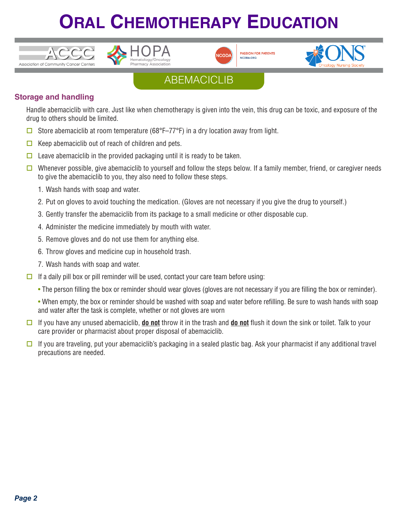





**PASSION FOR PATIENTS** NCODA, ORG



## ABEMACICLIB

### **Storage and handling**

Handle abemaciclib with care. Just like when chemotherapy is given into the vein, this drug can be toxic, and exposure of the drug to others should be limited.

- G Store abemaciclib at room temperature (68°F–77°F) in a dry location away from light.
- $\Box$  Keep abemaciclib out of reach of children and pets.
- $\Box$  Leave abemaciclib in the provided packaging until it is ready to be taken.
- $\square$  Whenever possible, give abemaciclib to yourself and follow the steps below. If a family member, friend, or caregiver needs to give the abemaciclib to you, they also need to follow these steps.
	- 1. Wash hands with soap and water.
	- 2. Put on gloves to avoid touching the medication. (Gloves are not necessary if you give the drug to yourself.)
	- 3. Gently transfer the abemaciclib from its package to a small medicine or other disposable cup.
	- 4. Administer the medicine immediately by mouth with water.
	- 5. Remove gloves and do not use them for anything else.
	- 6. Throw gloves and medicine cup in household trash.
	- 7. Wash hands with soap and water.
- $\Box$  If a daily pill box or pill reminder will be used, contact your care team before using:
	- The person filling the box or reminder should wear gloves (gloves are not necessary if you are filling the box or reminder).

• When empty, the box or reminder should be washed with soap and water before refilling. Be sure to wash hands with soap and water after the task is complete, whether or not gloves are worn

- o If you have any unused abemaciclib, **do not** throw it in the trash and **do not** flush it down the sink or toilet. Talk to your care provider or pharmacist about proper disposal of abemaciclib.
- $\Box$  If you are traveling, put your abemaciclib's packaging in a sealed plastic bag. Ask your pharmacist if any additional travel precautions are needed.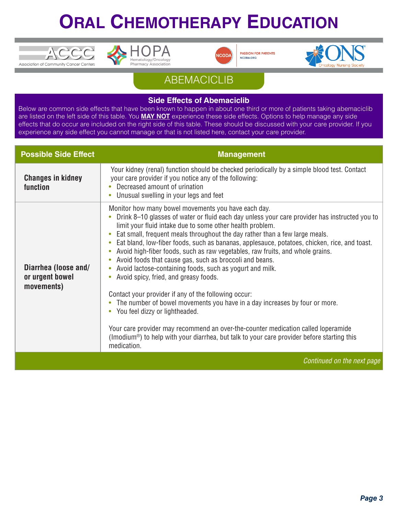





**PASSION FOR PATIENTS** NCODA, ORG



## **ABEMACICLIB**

#### **Side Effects of Abemaciclib**

Below are common side effects that have been known to happen in about one third or more of patients taking abemaciclib are listed on the left side of this table. You **MAY NOT** experience these side effects. Options to help manage any side effects that do occur are included on the right side of this table. These should be discussed with your care provider. If you experience any side effect you cannot manage or that is not listed here, contact your care provider.

| <b>Possible Side Effect</b>                           | <b>Management</b>                                                                                                                                                                                                                                                                                                                                                                                                                                                                                                                                                                                                                                                                                                                                                                                                                                                                                                                                                                                                                                                                                                   |
|-------------------------------------------------------|---------------------------------------------------------------------------------------------------------------------------------------------------------------------------------------------------------------------------------------------------------------------------------------------------------------------------------------------------------------------------------------------------------------------------------------------------------------------------------------------------------------------------------------------------------------------------------------------------------------------------------------------------------------------------------------------------------------------------------------------------------------------------------------------------------------------------------------------------------------------------------------------------------------------------------------------------------------------------------------------------------------------------------------------------------------------------------------------------------------------|
| <b>Changes in kidney</b><br>function                  | Your kidney (renal) function should be checked periodically by a simple blood test. Contact<br>your care provider if you notice any of the following:<br>Decreased amount of urination<br>Unusual swelling in your legs and feet<br>$\bullet$                                                                                                                                                                                                                                                                                                                                                                                                                                                                                                                                                                                                                                                                                                                                                                                                                                                                       |
| Diarrhea (loose and/<br>or urgent bowel<br>movements) | Monitor how many bowel movements you have each day.<br>Drink 8–10 glasses of water or fluid each day unless your care provider has instructed you to<br>limit your fluid intake due to some other health problem.<br>Eat small, frequent meals throughout the day rather than a few large meals.<br>$\bullet$<br>Eat bland, low-fiber foods, such as bananas, applesauce, potatoes, chicken, rice, and toast.<br>۰<br>Avoid high-fiber foods, such as raw vegetables, raw fruits, and whole grains.<br>۰<br>Avoid foods that cause gas, such as broccoli and beans.<br>$\bullet$<br>Avoid lactose-containing foods, such as yogurt and milk.<br>$\bullet$<br>Avoid spicy, fried, and greasy foods.<br>$\bullet$<br>Contact your provider if any of the following occur:<br>The number of bowel movements you have in a day increases by four or more.<br>You feel dizzy or lightheaded.<br>$\bullet$<br>Your care provider may recommend an over-the-counter medication called loperamide<br>(Imodium <sup>®</sup> ) to help with your diarrhea, but talk to your care provider before starting this<br>medication. |
|                                                       | Continued on the next page                                                                                                                                                                                                                                                                                                                                                                                                                                                                                                                                                                                                                                                                                                                                                                                                                                                                                                                                                                                                                                                                                          |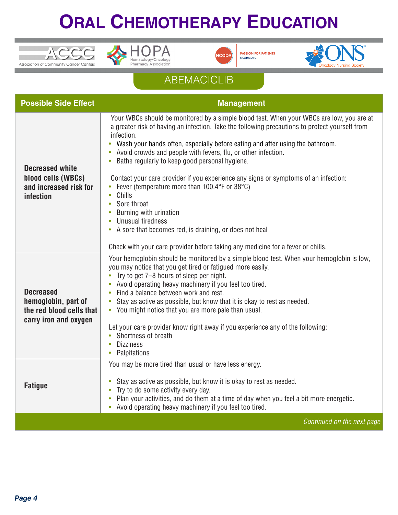





**PASSION FOR PATIENTS**<br>NCODA.ORG



## **ABEMACICLIB**

| <b>Possible Side Effect</b>                                                                  | <b>Management</b>                                                                                                                                                                                                                                                                                                                                                                                                                                                                                                                                                                                                                                                                                                                                                                                                       |
|----------------------------------------------------------------------------------------------|-------------------------------------------------------------------------------------------------------------------------------------------------------------------------------------------------------------------------------------------------------------------------------------------------------------------------------------------------------------------------------------------------------------------------------------------------------------------------------------------------------------------------------------------------------------------------------------------------------------------------------------------------------------------------------------------------------------------------------------------------------------------------------------------------------------------------|
| <b>Decreased white</b><br>blood cells (WBCs)<br>and increased risk for<br>infection          | Your WBCs should be monitored by a simple blood test. When your WBCs are low, you are at<br>a greater risk of having an infection. Take the following precautions to protect yourself from<br>infection.<br>Wash your hands often, especially before eating and after using the bathroom.<br>Avoid crowds and people with fevers, flu, or other infection.<br>Bathe regularly to keep good personal hygiene.<br>$\bullet$<br>Contact your care provider if you experience any signs or symptoms of an infection:<br>Fever (temperature more than 100.4°F or 38°C)<br>Chills<br>$\bullet$<br>Sore throat<br>$\bullet$<br>Burning with urination<br><b>Unusual tiredness</b><br>A sore that becomes red, is draining, or does not heal<br>Check with your care provider before taking any medicine for a fever or chills. |
| <b>Decreased</b><br>hemoglobin, part of<br>the red blood cells that<br>carry iron and oxygen | Your hemoglobin should be monitored by a simple blood test. When your hemoglobin is low,<br>you may notice that you get tired or fatigued more easily.<br>Try to get 7-8 hours of sleep per night.<br>Avoid operating heavy machinery if you feel too tired.<br>Find a balance between work and rest.<br>$\bullet$<br>Stay as active as possible, but know that it is okay to rest as needed.<br>• You might notice that you are more pale than usual.<br>Let your care provider know right away if you experience any of the following:<br>Shortness of breath<br><b>Dizziness</b><br>Palpitations<br>$\bullet$                                                                                                                                                                                                        |
| <b>Fatigue</b>                                                                               | You may be more tired than usual or have less energy.<br>Stay as active as possible, but know it is okay to rest as needed.<br>$\bullet$<br>Try to do some activity every day.<br>$\bullet$<br>Plan your activities, and do them at a time of day when you feel a bit more energetic.<br>$\bullet$<br>Avoid operating heavy machinery if you feel too tired.                                                                                                                                                                                                                                                                                                                                                                                                                                                            |
|                                                                                              | Continued on the next page                                                                                                                                                                                                                                                                                                                                                                                                                                                                                                                                                                                                                                                                                                                                                                                              |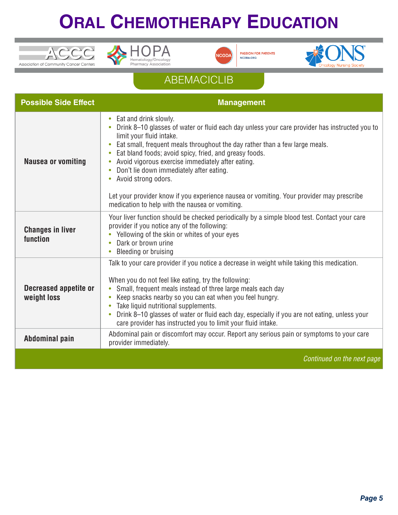





**PASSION FOR PATIENTS** NCODA.ORG



# **ABEMACICLIB**

| <b>Possible Side Effect</b>                 | <b>Management</b>                                                                                                                                                                                                                                                                                                                                                                                                                                                                                                                                                                                                      |
|---------------------------------------------|------------------------------------------------------------------------------------------------------------------------------------------------------------------------------------------------------------------------------------------------------------------------------------------------------------------------------------------------------------------------------------------------------------------------------------------------------------------------------------------------------------------------------------------------------------------------------------------------------------------------|
| <b>Nausea or vomiting</b>                   | Eat and drink slowly.<br>$\bullet$<br>Drink 8-10 glasses of water or fluid each day unless your care provider has instructed you to<br>limit your fluid intake.<br>Eat small, frequent meals throughout the day rather than a few large meals.<br>Eat bland foods; avoid spicy, fried, and greasy foods.<br>$\bullet$<br>Avoid vigorous exercise immediately after eating.<br>$\bullet$<br>Don't lie down immediately after eating.<br>Avoid strong odors.<br>$\bullet$<br>Let your provider know if you experience nausea or vomiting. Your provider may prescribe<br>medication to help with the nausea or vomiting. |
| <b>Changes in liver</b><br>function         | Your liver function should be checked periodically by a simple blood test. Contact your care<br>provider if you notice any of the following:<br>Yellowing of the skin or whites of your eyes<br>$\bullet$<br>Dark or brown urine<br><b>Bleeding or bruising</b>                                                                                                                                                                                                                                                                                                                                                        |
| <b>Decreased appetite or</b><br>weight loss | Talk to your care provider if you notice a decrease in weight while taking this medication.<br>When you do not feel like eating, try the following:<br>Small, frequent meals instead of three large meals each day<br>$\bullet$<br>Keep snacks nearby so you can eat when you feel hungry.<br>$\bullet$<br>Take liquid nutritional supplements.<br>$\bullet$<br>Drink 8-10 glasses of water or fluid each day, especially if you are not eating, unless your<br>$\bullet$<br>care provider has instructed you to limit your fluid intake.                                                                              |
| Abdominal pain                              | Abdominal pain or discomfort may occur. Report any serious pain or symptoms to your care<br>provider immediately.                                                                                                                                                                                                                                                                                                                                                                                                                                                                                                      |
|                                             | Continued on the next page                                                                                                                                                                                                                                                                                                                                                                                                                                                                                                                                                                                             |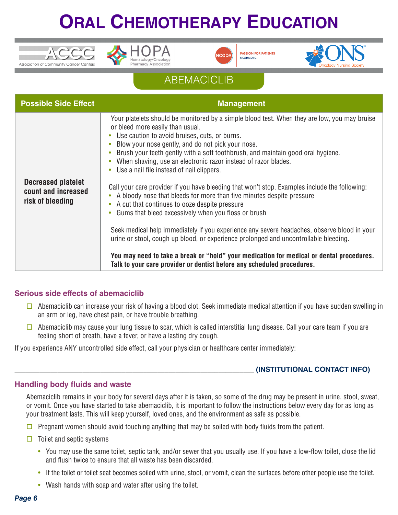





**PASSION FOR PATIENTS** NCODA, ORG



### ABEMACICLIB

| <b>Possible Side Effect</b>                                          | <b>Management</b>                                                                                                                                                                                                                                                                                                                                                                                                                                                                                                                                                                                                                                                                                                                                                                                                                                                                                                                                                                                                                                                                                                   |
|----------------------------------------------------------------------|---------------------------------------------------------------------------------------------------------------------------------------------------------------------------------------------------------------------------------------------------------------------------------------------------------------------------------------------------------------------------------------------------------------------------------------------------------------------------------------------------------------------------------------------------------------------------------------------------------------------------------------------------------------------------------------------------------------------------------------------------------------------------------------------------------------------------------------------------------------------------------------------------------------------------------------------------------------------------------------------------------------------------------------------------------------------------------------------------------------------|
| <b>Decreased platelet</b><br>count and increased<br>risk of bleeding | Your platelets should be monitored by a simple blood test. When they are low, you may bruise<br>or bleed more easily than usual.<br>• Use caution to avoid bruises, cuts, or burns.<br>Blow your nose gently, and do not pick your nose.<br>Brush your teeth gently with a soft toothbrush, and maintain good oral hygiene.<br>When shaving, use an electronic razor instead of razor blades.<br>Use a nail file instead of nail clippers.<br>Call your care provider if you have bleeding that won't stop. Examples include the following:<br>A bloody nose that bleeds for more than five minutes despite pressure<br>$\bullet$<br>A cut that continues to ooze despite pressure<br>$\bullet$<br>Gums that bleed excessively when you floss or brush<br>Seek medical help immediately if you experience any severe headaches, observe blood in your<br>urine or stool, cough up blood, or experience prolonged and uncontrollable bleeding.<br>You may need to take a break or "hold" your medication for medical or dental procedures.<br>Talk to your care provider or dentist before any scheduled procedures. |

#### **Serious side effects of abemaciclib**

- $\Box$  Abemaciclib can increase your risk of having a blood clot. Seek immediate medical attention if you have sudden swelling in an arm or leg, have chest pain, or have trouble breathing.
- $\Box$  Abemaciclib may cause your lung tissue to scar, which is called interstitial lung disease. Call your care team if you are feeling short of breath, have a fever, or have a lasting dry cough.

If you experience ANY uncontrolled side effect, call your physician or healthcare center immediately:

#### \_\_\_\_\_\_\_\_\_\_\_\_\_\_\_\_\_\_\_\_\_\_\_\_\_\_\_\_\_\_\_\_\_\_\_\_\_\_\_\_\_\_\_\_\_\_\_\_\_\_\_\_\_\_\_\_\_\_\_\_\_\_\_\_\_\_\_ **(INSTITUTIONAL CONTACT INFO)**

#### **Handling body fluids and waste**

Abemaciclib remains in your body for several days after it is taken, so some of the drug may be present in urine, stool, sweat, or vomit. Once you have started to take abemaciclib, it is important to follow the instructions below every day for as long as your treatment lasts. This will keep yourself, loved ones, and the environment as safe as possible.

- $\Box$  Pregnant women should avoid touching anything that may be soiled with body fluids from the patient.
- $\Box$  Toilet and septic systems
	- You may use the same toilet, septic tank, and/or sewer that you usually use. If you have a low-flow toilet, close the lid and flush twice to ensure that all waste has been discarded.
	- If the toilet or toilet seat becomes soiled with urine, stool, or vomit, clean the surfaces before other people use the toilet.
	- Wash hands with soap and water after using the toilet.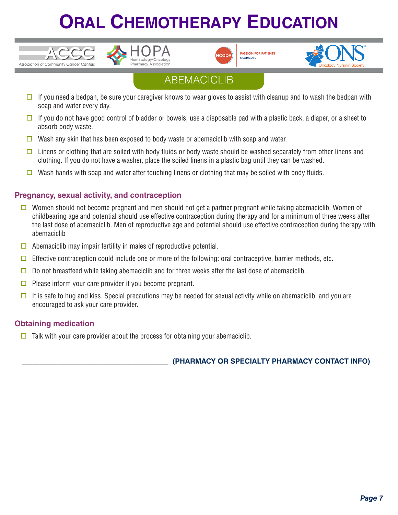



**PASSION FOR PATIENTS** NCODA, ORG



## ABEMACICLIB

- $\Box$  If you need a bedpan, be sure your caregiver knows to wear gloves to assist with cleanup and to wash the bedpan with soap and water every day.
- $\Box$  If you do not have good control of bladder or bowels, use a disposable pad with a plastic back, a diaper, or a sheet to absorb body waste.
- $\Box$  Wash any skin that has been exposed to body waste or abemaciclib with soap and water.
- $\Box$  Linens or clothing that are soiled with body fluids or body waste should be washed separately from other linens and clothing. If you do not have a washer, place the soiled linens in a plastic bag until they can be washed.
- Wash hands with soap and water after touching linens or clothing that may be soiled with body fluids.

### **Pregnancy, sexual activity, and contraception**

 $TCCC$ 

Association of Community Cancer Centers

- **O** Women should not become pregnant and men should not get a partner pregnant while taking abemaciclib. Women of childbearing age and potential should use effective contraception during therapy and for a minimum of three weeks after the last dose of abemaciclib. Men of reproductive age and potential should use effective contraception during therapy with abemaciclib
- $\Box$  Abemaciclib may impair fertility in males of reproductive potential.
- $\Box$  Effective contraception could include one or more of the following: oral contraceptive, barrier methods, etc.
- $\Box$  Do not breastfeed while taking abemaciclib and for three weeks after the last dose of abemaciclib.
- $\Box$  Please inform your care provider if you become pregnant.
- $\Box$  It is safe to hug and kiss. Special precautions may be needed for sexual activity while on abemaciclib, and you are encouraged to ask your care provider.

### **Obtaining medication**

 $\Box$  Talk with your care provider about the process for obtaining your abemaciclib.

\_\_\_\_\_\_\_\_\_\_\_\_\_\_\_\_\_\_\_\_\_\_\_\_\_\_\_\_\_\_\_\_\_\_\_\_\_\_\_\_\_ **(PHARMACY OR SPECIALTY PHARMACY CONTACT INFO)**